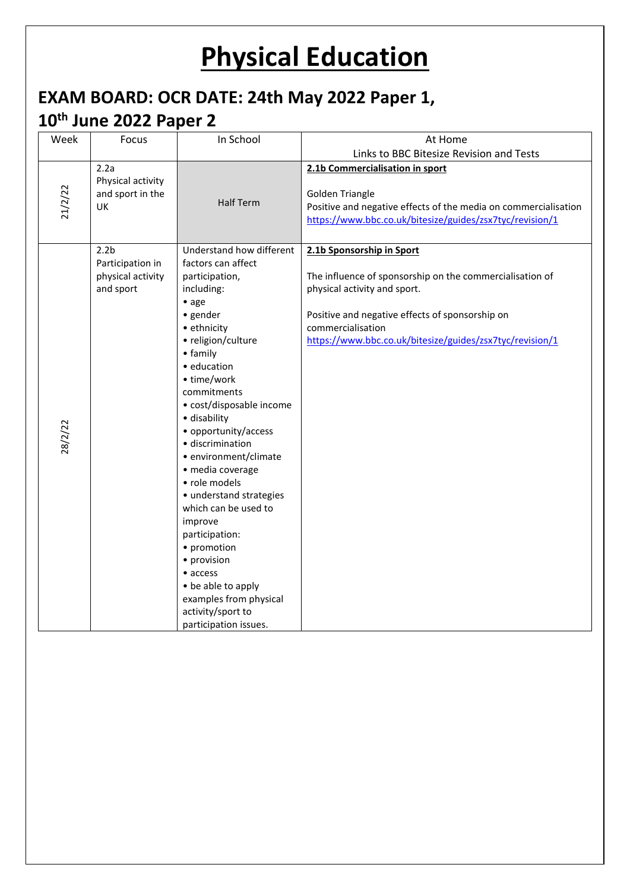## **Physical Education**

## **EXAM BOARD: OCR DATE: 24th May 2022 Paper 1,**

## **10th June 2022 Paper 2**

| Week                        | Focus                                              | In School                                                                                                                                                                                                                                                                                                                                                                                                                                                                                                                                                                                       | At Home                                                                                                                                                                                                                                                   |
|-----------------------------|----------------------------------------------------|-------------------------------------------------------------------------------------------------------------------------------------------------------------------------------------------------------------------------------------------------------------------------------------------------------------------------------------------------------------------------------------------------------------------------------------------------------------------------------------------------------------------------------------------------------------------------------------------------|-----------------------------------------------------------------------------------------------------------------------------------------------------------------------------------------------------------------------------------------------------------|
|                             |                                                    |                                                                                                                                                                                                                                                                                                                                                                                                                                                                                                                                                                                                 | Links to BBC Bitesize Revision and Tests                                                                                                                                                                                                                  |
| 2.2a<br>21/2/22<br>UK       | Physical activity<br>and sport in the              | <b>Half Term</b>                                                                                                                                                                                                                                                                                                                                                                                                                                                                                                                                                                                | 2.1b Commercialisation in sport<br><b>Golden Triangle</b><br>Positive and negative effects of the media on commercialisation<br>https://www.bbc.co.uk/bitesize/guides/zsx7tyc/revision/1                                                                  |
| 2.2 <sub>b</sub><br>28/2/22 | Participation in<br>physical activity<br>and sport | Understand how different<br>factors can affect<br>participation,<br>including:<br>$\bullet$ age<br>· gender<br>• ethnicity<br>• religion/culture<br>• family<br>· education<br>• time/work<br>commitments<br>• cost/disposable income<br>· disability<br>• opportunity/access<br>· discrimination<br>• environment/climate<br>· media coverage<br>• role models<br>• understand strategies<br>which can be used to<br>improve<br>participation:<br>• promotion<br>· provision<br>$\bullet$ access<br>• be able to apply<br>examples from physical<br>activity/sport to<br>participation issues. | 2.1b Sponsorship in Sport<br>The influence of sponsorship on the commercialisation of<br>physical activity and sport.<br>Positive and negative effects of sponsorship on<br>commercialisation<br>https://www.bbc.co.uk/bitesize/guides/zsx7tyc/revision/1 |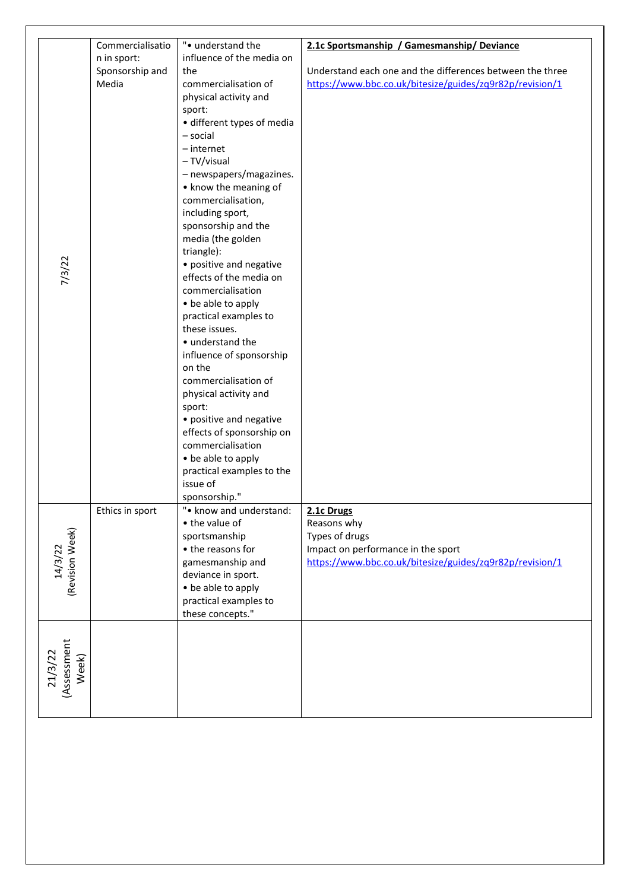|                  | Commercialisatio | ". understand the                             | 2.1c Sportsmanship / Gamesmanship/ Deviance               |
|------------------|------------------|-----------------------------------------------|-----------------------------------------------------------|
|                  | n in sport:      | influence of the media on                     |                                                           |
|                  | Sponsorship and  | the                                           | Understand each one and the differences between the three |
|                  | Media            | commercialisation of<br>physical activity and | https://www.bbc.co.uk/bitesize/guides/zq9r82p/revision/1  |
|                  |                  | sport:                                        |                                                           |
|                  |                  | · different types of media                    |                                                           |
|                  |                  | - social                                      |                                                           |
|                  |                  | $-$ internet                                  |                                                           |
|                  |                  | - TV/visual                                   |                                                           |
|                  |                  | - newspapers/magazines.                       |                                                           |
|                  |                  | • know the meaning of                         |                                                           |
|                  |                  | commercialisation,                            |                                                           |
|                  |                  | including sport,<br>sponsorship and the       |                                                           |
|                  |                  | media (the golden                             |                                                           |
|                  |                  | triangle):                                    |                                                           |
|                  |                  | • positive and negative                       |                                                           |
| 7/3/22           |                  | effects of the media on                       |                                                           |
|                  |                  | commercialisation                             |                                                           |
|                  |                  | • be able to apply                            |                                                           |
|                  |                  | practical examples to                         |                                                           |
|                  |                  | these issues.<br>• understand the             |                                                           |
|                  |                  | influence of sponsorship                      |                                                           |
|                  |                  | on the                                        |                                                           |
|                  |                  | commercialisation of                          |                                                           |
|                  |                  | physical activity and                         |                                                           |
|                  |                  | sport:                                        |                                                           |
|                  |                  | • positive and negative                       |                                                           |
|                  |                  | effects of sponsorship on                     |                                                           |
|                  |                  | commercialisation<br>• be able to apply       |                                                           |
|                  |                  | practical examples to the                     |                                                           |
|                  |                  | issue of                                      |                                                           |
|                  |                  | sponsorship."                                 |                                                           |
|                  | Ethics in sport  | ". know and understand:                       | 2.1c Drugs                                                |
|                  |                  | • the value of                                | Reasons why                                               |
| (Revision Week)  |                  | sportsmanship                                 | Types of drugs                                            |
| 14/3/22          |                  | • the reasons for                             | Impact on performance in the sport                        |
|                  |                  | gamesmanship and<br>deviance in sport.        | https://www.bbc.co.uk/bitesize/guides/zq9r82p/revision/1  |
|                  |                  | • be able to apply                            |                                                           |
|                  |                  | practical examples to                         |                                                           |
|                  |                  | these concepts."                              |                                                           |
|                  |                  |                                               |                                                           |
|                  |                  |                                               |                                                           |
|                  |                  |                                               |                                                           |
| 21/3/22<br>Week) |                  |                                               |                                                           |
| (Assessment      |                  |                                               |                                                           |
|                  |                  |                                               |                                                           |
|                  |                  |                                               |                                                           |